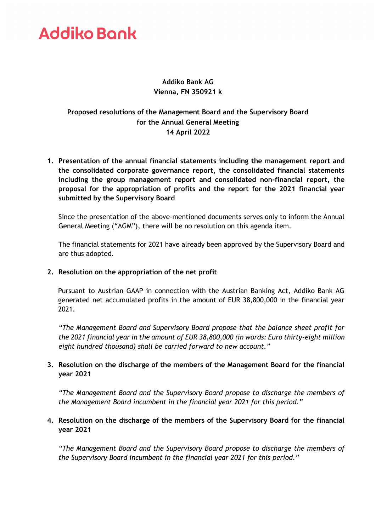# **Addiko Bank**

# **Addiko Bank AG Vienna, FN 350921 k**

# **Proposed resolutions of the Management Board and the Supervisory Board for the Annual General Meeting 14 April 2022**

**1. Presentation of the annual financial statements including the management report and the consolidated corporate governance report, the consolidated financial statements including the group management report and consolidated non-financial report, the proposal for the appropriation of profits and the report for the 2021 financial year submitted by the Supervisory Board**

Since the presentation of the above-mentioned documents serves only to inform the Annual General Meeting ("AGM"), there will be no resolution on this agenda item.

The financial statements for 2021 have already been approved by the Supervisory Board and are thus adopted.

**2. Resolution on the appropriation of the net profit**

Pursuant to Austrian GAAP in connection with the Austrian Banking Act, Addiko Bank AG generated net accumulated profits in the amount of EUR 38,800,000 in the financial year 2021.

*"The Management Board and Supervisory Board propose that the balance sheet profit for the 2021 financial year in the amount of EUR 38,800,000 (in words: Euro thirty-eight million eight hundred thousand) shall be carried forward to new account."*

# **3. Resolution on the discharge of the members of the Management Board for the financial year 2021**

*"The Management Board and the Supervisory Board propose to discharge the members of the Management Board incumbent in the financial year 2021 for this period."*

# **4. Resolution on the discharge of the members of the Supervisory Board for the financial year 2021**

*"The Management Board and the Supervisory Board propose to discharge the members of the Supervisory Board incumbent in the financial year 2021 for this period."*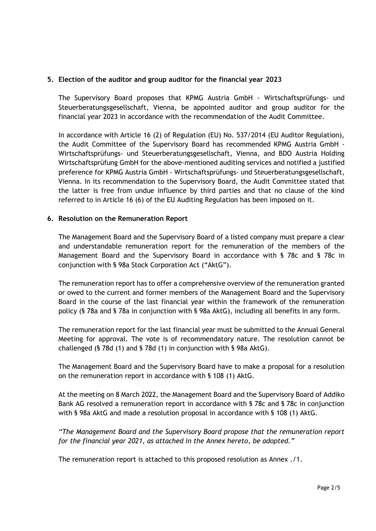## **5. Election of the auditor and group auditor for the financial year 2023**

The Supervisory Board proposes that KPMG Austria GmbH - Wirtschaftsprüfungs- und Steuerberatungsgesellschaft, Vienna, be appointed auditor and group auditor for the financial year 2023 in accordance with the recommendation of the Audit Committee.

In accordance with Article 16 (2) of Regulation (EU) No. 537/2014 (EU Auditor Regulation), the Audit Committee of the Supervisory Board has recommended KPMG Austria GmbH - Wirtschaftsprüfungs- und Steuerberatungsgesellschaft, Vienna, and BDO Austria Holding Wirtschaftsprüfung GmbH for the above-mentioned auditing services and notified a justified preference for KPMG Austria GmbH - Wirtschaftsprüfungs- und Steuerberatungsgesellschaft, Vienna. In its recommendation to the Supervisory Board, the Audit Committee stated that the latter is free from undue influence by third parties and that no clause of the kind referred to in Article 16 (6) of the EU Auditing Regulation has been imposed on it.

#### **6. Resolution on the Remuneration Report**

The Management Board and the Supervisory Board of a listed company must prepare a clear and understandable remuneration report for the remuneration of the members of the Management Board and the Supervisory Board in accordance with § 78c and § 78c in conjunction with § 98a Stock Corporation Act ("AktG").

The remuneration report has to offer a comprehensive overview of the remuneration granted or owed to the current and former members of the Management Board and the Supervisory Board in the course of the last financial year within the framework of the remuneration policy (§ 78a and § 78a in conjunction with § 98a AktG), including all benefits in any form.

The remuneration report for the last financial year must be submitted to the Annual General Meeting for approval. The vote is of recommendatory nature. The resolution cannot be challenged (§ 78d (1) and § 78d (1) in conjunction with § 98a AktG).

The Management Board and the Supervisory Board have to make a proposal for a resolution on the remuneration report in accordance with § 108 (1) AktG.

At the meeting on 8 March 2022, the Management Board and the Supervisory Board of Addiko Bank AG resolved a remuneration report in accordance with § 78c and § 78c in conjunction with § 98a AktG and made a resolution proposal in accordance with § 108 (1) AktG.

*"The Management Board and the Supervisory Board propose that the remuneration report for the financial year 2021, as attached in the Annex hereto, be adopted."*

The remuneration report is attached to this proposed resolution as Annex ./1.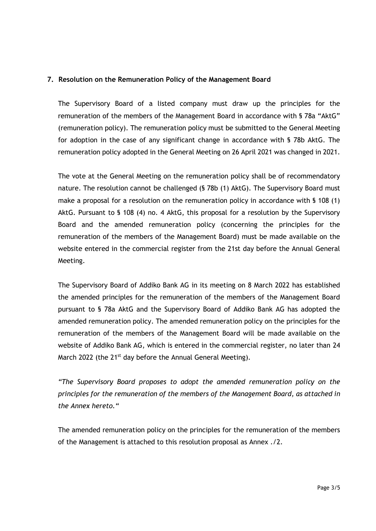## **7. Resolution on the Remuneration Policy of the Management Board**

The Supervisory Board of a listed company must draw up the principles for the remuneration of the members of the Management Board in accordance with § 78a "AktG" (remuneration policy). The remuneration policy must be submitted to the General Meeting for adoption in the case of any significant change in accordance with § 78b AktG. The remuneration policy adopted in the General Meeting on 26 April 2021 was changed in 2021.

The vote at the General Meeting on the remuneration policy shall be of recommendatory nature. The resolution cannot be challenged (§ 78b (1) AktG). The Supervisory Board must make a proposal for a resolution on the remuneration policy in accordance with § 108 (1) AktG. Pursuant to § 108 (4) no. 4 AktG, this proposal for a resolution by the Supervisory Board and the amended remuneration policy (concerning the principles for the remuneration of the members of the Management Board) must be made available on the website entered in the commercial register from the 21st day before the Annual General Meeting.

The Supervisory Board of Addiko Bank AG in its meeting on 8 March 2022 has established the amended principles for the remuneration of the members of the Management Board pursuant to § 78a AktG and the Supervisory Board of Addiko Bank AG has adopted the amended remuneration policy. The amended remuneration policy on the principles for the remuneration of the members of the Management Board will be made available on the website of Addiko Bank AG, which is entered in the commercial register, no later than 24 March 2022 (the 21<sup>st</sup> day before the Annual General Meeting).

*"The Supervisory Board proposes to adopt the amended remuneration policy on the principles for the remuneration of the members of the Management Board, as attached in the Annex hereto."*

The amended remuneration policy on the principles for the remuneration of the members of the Management is attached to this resolution proposal as Annex ./2.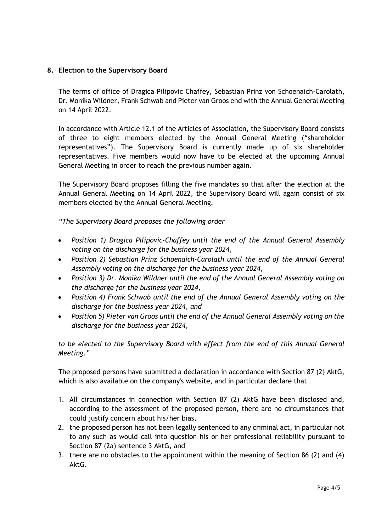## **8. Election to the Supervisory Board**

The terms of office of Dragica Pilipovic Chaffey, Sebastian Prinz von Schoenaich-Carolath, Dr. Monika Wildner, Frank Schwab and Pieter van Groos end with the Annual General Meeting on 14 April 2022.

In accordance with Article 12.1 of the Articles of Association, the Supervisory Board consists of three to eight members elected by the Annual General Meeting ("shareholder representatives"). The Supervisory Board is currently made up of six shareholder representatives. Five members would now have to be elected at the upcoming Annual General Meeting in order to reach the previous number again.

The Supervisory Board proposes filling the five mandates so that after the election at the Annual General Meeting on 14 April 2022, the Supervisory Board will again consist of six members elected by the Annual General Meeting.

*"The Supervisory Board proposes the following order*

- *Position 1) Dragica Pilipovic-Chaffey until the end of the Annual General Assembly voting on the discharge for the business year 2024,*
- *Position 2) Sebastian Prinz Schoenaich-Carolath until the end of the Annual General Assembly voting on the discharge for the business year 2024,*
- *Position 3) Dr. Monika Wildner until the end of the Annual General Assembly voting on the discharge for the business year 2024,*
- *Position 4) Frank Schwab until the end of the Annual General Assembly voting on the discharge for the business year 2024, and*
- *Position 5) Pieter van Groos until the end of the Annual General Assembly voting on the discharge for the business year 2024,*

*to be elected to the Supervisory Board with effect from the end of this Annual General Meeting."*

The proposed persons have submitted a declaration in accordance with Section 87 (2) AktG, which is also available on the company's website, and in particular declare that

- 1. All circumstances in connection with Section 87 (2) AktG have been disclosed and, according to the assessment of the proposed person, there are no circumstances that could justify concern about his/her bias,
- 2. the proposed person has not been legally sentenced to any criminal act, in particular not to any such as would call into question his or her professional reliability pursuant to Section 87 (2a) sentence 3 AktG, and
- 3. there are no obstacles to the appointment within the meaning of Section 86 (2) and (4) AktG.